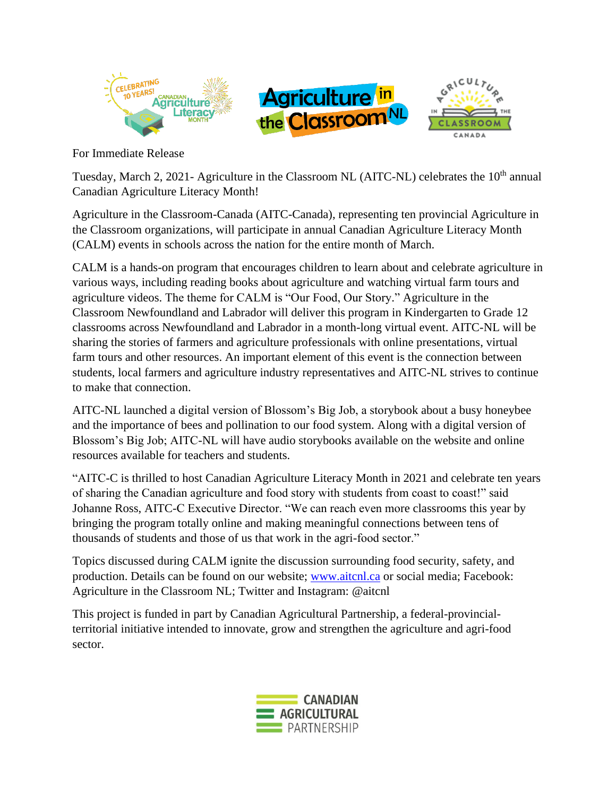





For Immediate Release

Tuesday, March 2, 2021- Agriculture in the Classroom NL (AITC-NL) celebrates the 10<sup>th</sup> annual Canadian Agriculture Literacy Month!

Agriculture in the Classroom-Canada (AITC-Canada), representing ten provincial Agriculture in the Classroom organizations, will participate in annual Canadian Agriculture Literacy Month (CALM) events in schools across the nation for the entire month of March.

CALM is a hands-on program that encourages children to learn about and celebrate agriculture in various ways, including reading books about agriculture and watching virtual farm tours and agriculture videos. The theme for CALM is "Our Food, Our Story." Agriculture in the Classroom Newfoundland and Labrador will deliver this program in Kindergarten to Grade 12 classrooms across Newfoundland and Labrador in a month-long virtual event. AITC-NL will be sharing the stories of farmers and agriculture professionals with online presentations, virtual farm tours and other resources. An important element of this event is the connection between students, local farmers and agriculture industry representatives and AITC-NL strives to continue to make that connection.

AITC-NL launched a digital version of Blossom's Big Job, a storybook about a busy honeybee and the importance of bees and pollination to our food system. Along with a digital version of Blossom's Big Job; AITC-NL will have audio storybooks available on the website and online resources available for teachers and students.

"AITC-C is thrilled to host Canadian Agriculture Literacy Month in 2021 and celebrate ten years of sharing the Canadian agriculture and food story with students from coast to coast!" said Johanne Ross, AITC-C Executive Director. "We can reach even more classrooms this year by bringing the program totally online and making meaningful connections between tens of thousands of students and those of us that work in the agri-food sector."

Topics discussed during CALM ignite the discussion surrounding food security, safety, and production. Details can be found on our website; [www.aitcnl.ca](http://www.aitcnl.ca/) or social media; Facebook: Agriculture in the Classroom NL; Twitter and Instagram: @aitcnl

This project is funded in part by Canadian Agricultural Partnership, a federal-provincialterritorial initiative intended to innovate, grow and strengthen the agriculture and agri-food sector.